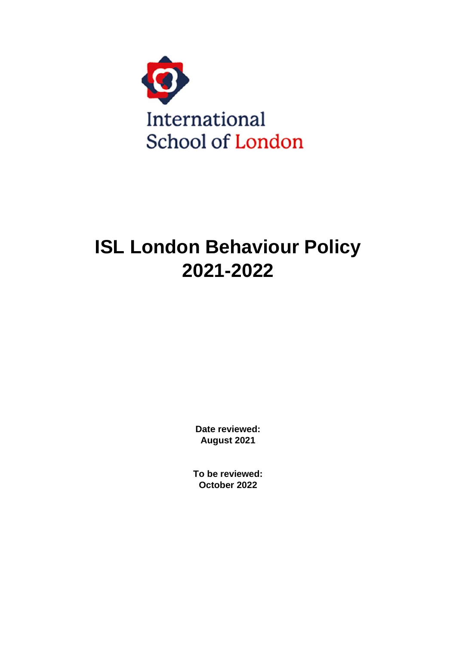

# **ISL London Behaviour Policy 2021-2022**

**Date reviewed: August 2021**

**To be reviewed: October 2022**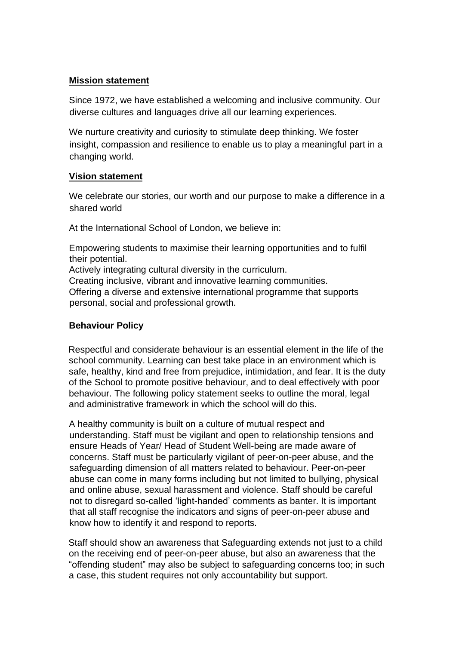#### **Mission statement**

Since 1972, we have established a welcoming and inclusive community. Our diverse cultures and languages drive all our learning experiences.

We nurture creativity and curiosity to stimulate deep thinking. We foster insight, compassion and resilience to enable us to play a meaningful part in a changing world.

#### **Vision statement**

We celebrate our stories, our worth and our purpose to make a difference in a shared world

At the International School of London, we believe in:

Empowering students to maximise their learning opportunities and to fulfil their potential.

Actively integrating cultural diversity in the curriculum.

Creating inclusive, vibrant and innovative learning communities. Offering a diverse and extensive international programme that supports personal, social and professional growth.

#### **Behaviour Policy**

Respectful and considerate behaviour is an essential element in the life of the school community. Learning can best take place in an environment which is safe, healthy, kind and free from prejudice, intimidation, and fear. It is the duty of the School to promote positive behaviour, and to deal effectively with poor behaviour. The following policy statement seeks to outline the moral, legal and administrative framework in which the school will do this.

A healthy community is built on a culture of mutual respect and understanding. Staff must be vigilant and open to relationship tensions and ensure Heads of Year/ Head of Student Well-being are made aware of concerns. Staff must be particularly vigilant of peer-on-peer abuse, and the safeguarding dimension of all matters related to behaviour. Peer-on-peer abuse can come in many forms including but not limited to bullying, physical and online abuse, sexual harassment and violence. Staff should be careful not to disregard so-called 'light-handed' comments as banter. It is important that all staff recognise the indicators and signs of peer-on-peer abuse and know how to identify it and respond to reports.

Staff should show an awareness that Safeguarding extends not just to a child on the receiving end of peer-on-peer abuse, but also an awareness that the "offending student" may also be subject to safeguarding concerns too; in such a case, this student requires not only accountability but support.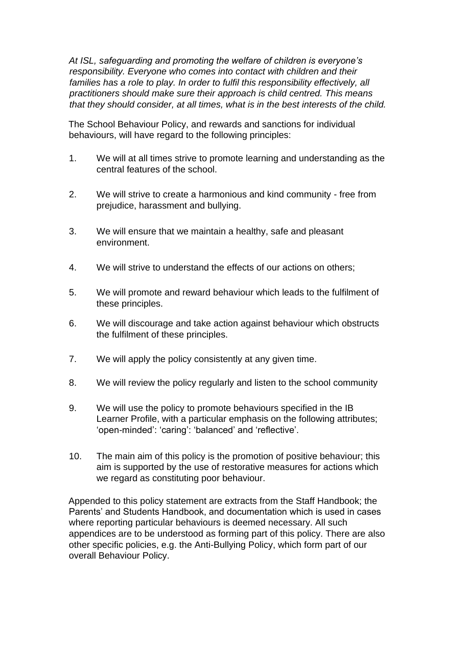*At ISL, safeguarding and promoting the welfare of children is everyone's responsibility. Everyone who comes into contact with children and their*  families has a role to play. In order to fulfil this responsibility effectively, all *practitioners should make sure their approach is child centred. This means that they should consider, at all times, what is in the best interests of the child.*

The School Behaviour Policy, and rewards and sanctions for individual behaviours, will have regard to the following principles:

- 1. We will at all times strive to promote learning and understanding as the central features of the school.
- 2. We will strive to create a harmonious and kind community free from prejudice, harassment and bullying.
- 3. We will ensure that we maintain a healthy, safe and pleasant environment.
- 4. We will strive to understand the effects of our actions on others;
- 5. We will promote and reward behaviour which leads to the fulfilment of these principles.
- 6. We will discourage and take action against behaviour which obstructs the fulfilment of these principles.
- 7. We will apply the policy consistently at any given time.
- 8. We will review the policy regularly and listen to the school community
- 9. We will use the policy to promote behaviours specified in the IB Learner Profile, with a particular emphasis on the following attributes; 'open-minded': 'caring': 'balanced' and 'reflective'.
- 10. The main aim of this policy is the promotion of positive behaviour; this aim is supported by the use of restorative measures for actions which we regard as constituting poor behaviour.

Appended to this policy statement are extracts from the Staff Handbook; the Parents' and Students Handbook, and documentation which is used in cases where reporting particular behaviours is deemed necessary. All such appendices are to be understood as forming part of this policy. There are also other specific policies, e.g. the Anti-Bullying Policy, which form part of our overall Behaviour Policy.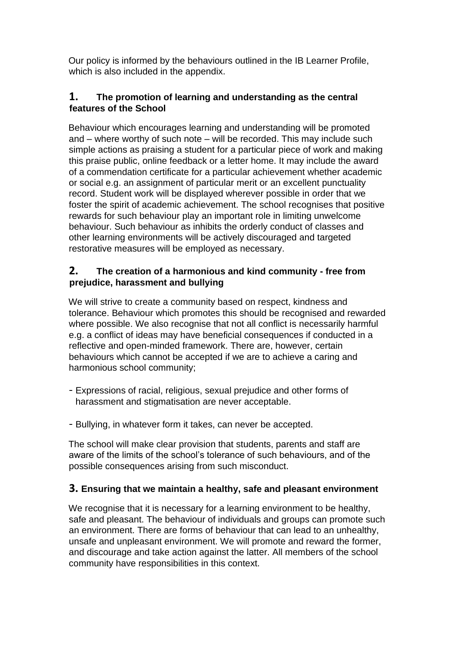Our policy is informed by the behaviours outlined in the IB Learner Profile, which is also included in the appendix.

## **1. The promotion of learning and understanding as the central features of the School**

Behaviour which encourages learning and understanding will be promoted and – where worthy of such note – will be recorded. This may include such simple actions as praising a student for a particular piece of work and making this praise public, online feedback or a letter home. It may include the award of a commendation certificate for a particular achievement whether academic or social e.g. an assignment of particular merit or an excellent punctuality record. Student work will be displayed wherever possible in order that we foster the spirit of academic achievement. The school recognises that positive rewards for such behaviour play an important role in limiting unwelcome behaviour. Such behaviour as inhibits the orderly conduct of classes and other learning environments will be actively discouraged and targeted restorative measures will be employed as necessary.

## **2. The creation of a harmonious and kind community - free from prejudice, harassment and bullying**

We will strive to create a community based on respect, kindness and tolerance. Behaviour which promotes this should be recognised and rewarded where possible. We also recognise that not all conflict is necessarily harmful e.g. a conflict of ideas may have beneficial consequences if conducted in a reflective and open-minded framework. There are, however, certain behaviours which cannot be accepted if we are to achieve a caring and harmonious school community;

- Expressions of racial, religious, sexual prejudice and other forms of harassment and stigmatisation are never acceptable.
- Bullying, in whatever form it takes, can never be accepted.

The school will make clear provision that students, parents and staff are aware of the limits of the school's tolerance of such behaviours, and of the possible consequences arising from such misconduct.

## **3. Ensuring that we maintain a healthy, safe and pleasant environment**

We recognise that it is necessary for a learning environment to be healthy, safe and pleasant. The behaviour of individuals and groups can promote such an environment. There are forms of behaviour that can lead to an unhealthy, unsafe and unpleasant environment. We will promote and reward the former, and discourage and take action against the latter. All members of the school community have responsibilities in this context.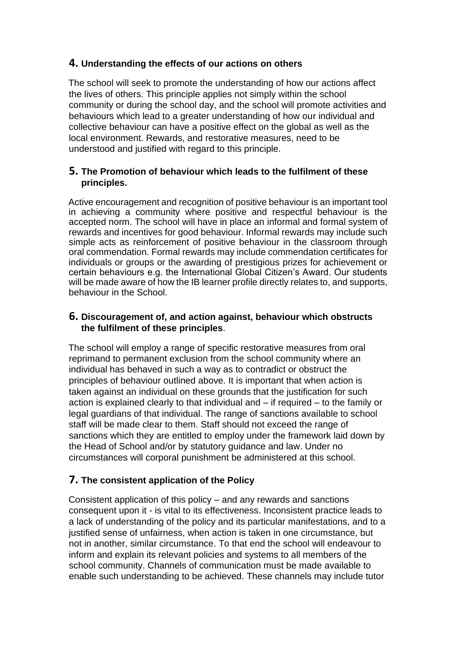### **4. Understanding the effects of our actions on others**

The school will seek to promote the understanding of how our actions affect the lives of others. This principle applies not simply within the school community or during the school day, and the school will promote activities and behaviours which lead to a greater understanding of how our individual and collective behaviour can have a positive effect on the global as well as the local environment. Rewards, and restorative measures, need to be understood and justified with regard to this principle.

#### **5. The Promotion of behaviour which leads to the fulfilment of these principles.**

Active encouragement and recognition of positive behaviour is an important tool in achieving a community where positive and respectful behaviour is the accepted norm. The school will have in place an informal and formal system of rewards and incentives for good behaviour. Informal rewards may include such simple acts as reinforcement of positive behaviour in the classroom through oral commendation. Formal rewards may include commendation certificates for individuals or groups or the awarding of prestigious prizes for achievement or certain behaviours e.g. the International Global Citizen's Award. Our students will be made aware of how the IB learner profile directly relates to, and supports, behaviour in the School.

### **6. Discouragement of, and action against, behaviour which obstructs the fulfilment of these principles**.

The school will employ a range of specific restorative measures from oral reprimand to permanent exclusion from the school community where an individual has behaved in such a way as to contradict or obstruct the principles of behaviour outlined above. It is important that when action is taken against an individual on these grounds that the justification for such action is explained clearly to that individual and – if required – to the family or legal guardians of that individual. The range of sanctions available to school staff will be made clear to them. Staff should not exceed the range of sanctions which they are entitled to employ under the framework laid down by the Head of School and/or by statutory guidance and law. Under no circumstances will corporal punishment be administered at this school.

# **7. The consistent application of the Policy**

Consistent application of this policy – and any rewards and sanctions consequent upon it - is vital to its effectiveness. Inconsistent practice leads to a lack of understanding of the policy and its particular manifestations, and to a justified sense of unfairness, when action is taken in one circumstance, but not in another, similar circumstance. To that end the school will endeavour to inform and explain its relevant policies and systems to all members of the school community. Channels of communication must be made available to enable such understanding to be achieved. These channels may include tutor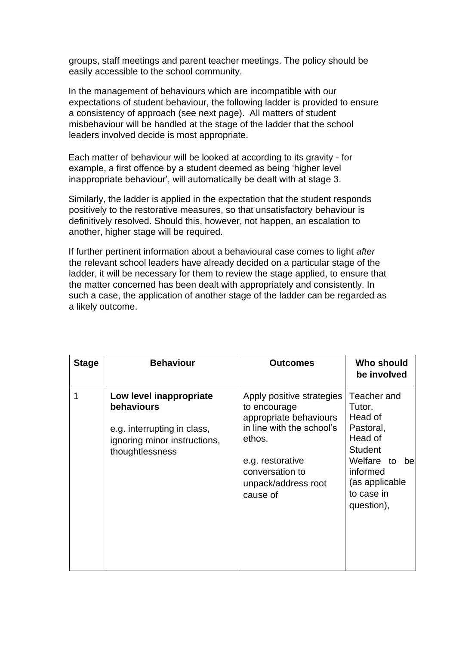groups, staff meetings and parent teacher meetings. The policy should be easily accessible to the school community.

In the management of behaviours which are incompatible with our expectations of student behaviour, the following ladder is provided to ensure a consistency of approach (see next page). All matters of student misbehaviour will be handled at the stage of the ladder that the school leaders involved decide is most appropriate.

Each matter of behaviour will be looked at according to its gravity - for example, a first offence by a student deemed as being 'higher level inappropriate behaviour', will automatically be dealt with at stage 3.

Similarly, the ladder is applied in the expectation that the student responds positively to the restorative measures, so that unsatisfactory behaviour is definitively resolved. Should this, however, not happen, an escalation to another, higher stage will be required.

If further pertinent information about a behavioural case comes to light *after* the relevant school leaders have already decided on a particular stage of the ladder, it will be necessary for them to review the stage applied, to ensure that the matter concerned has been dealt with appropriately and consistently. In such a case, the application of another stage of the ladder can be regarded as a likely outcome.

| <b>Stage</b> | <b>Behaviour</b>                                                                                                        | <b>Outcomes</b>                                                                                                                                                                      | Who should<br>be involved                                                                                                                                |
|--------------|-------------------------------------------------------------------------------------------------------------------------|--------------------------------------------------------------------------------------------------------------------------------------------------------------------------------------|----------------------------------------------------------------------------------------------------------------------------------------------------------|
|              | Low level inappropriate<br>behaviours<br>e.g. interrupting in class,<br>ignoring minor instructions,<br>thoughtlessness | Apply positive strategies<br>to encourage<br>appropriate behaviours<br>in line with the school's<br>ethos.<br>e.g. restorative<br>conversation to<br>unpack/address root<br>cause of | Teacher and<br>Tutor.<br>Head of<br>Pastoral,<br>Head of<br><b>Student</b><br>Welfare to<br>be<br>informed<br>(as applicable<br>to case in<br>question), |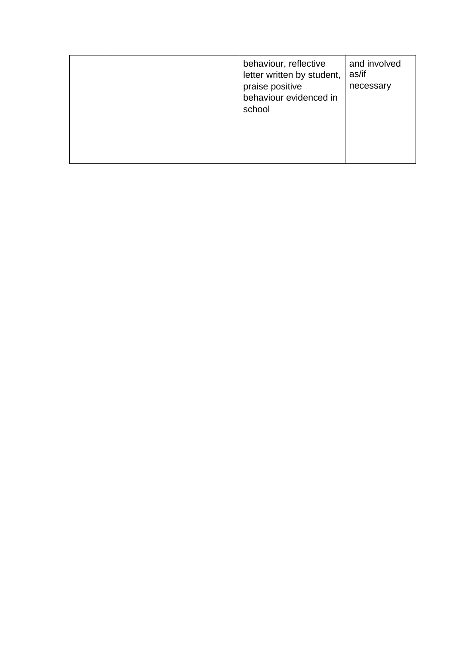|  |  | behaviour, reflective<br>letter written by student,<br>praise positive<br>behaviour evidenced in<br>school | and involved<br>as/if<br>necessary |
|--|--|------------------------------------------------------------------------------------------------------------|------------------------------------|
|--|--|------------------------------------------------------------------------------------------------------------|------------------------------------|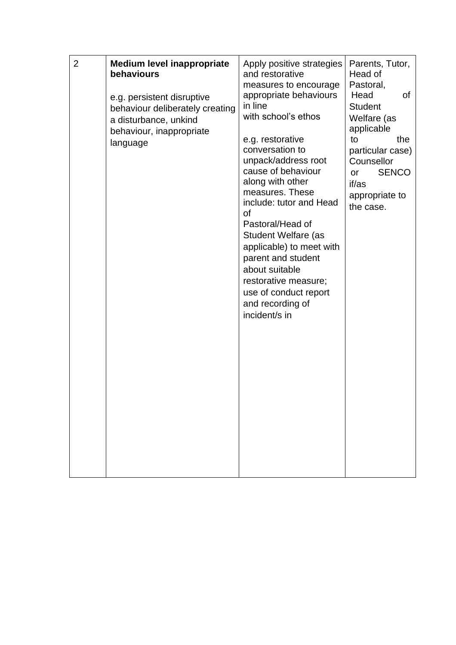| 2 | <b>Medium level inappropriate</b><br>behaviours<br>e.g. persistent disruptive<br>behaviour deliberately creating<br>a disturbance, unkind<br>behaviour, inappropriate<br>language | Apply positive strategies<br>and restorative<br>measures to encourage<br>appropriate behaviours<br>in line<br>with school's ethos<br>e.g. restorative<br>conversation to<br>unpack/address root<br>cause of behaviour<br>along with other<br>measures. These<br>include: tutor and Head<br>οf<br>Pastoral/Head of<br>Student Welfare (as<br>applicable) to meet with<br>parent and student<br>about suitable<br>restorative measure;<br>use of conduct report<br>and recording of<br>incident/s in | Parents, Tutor,<br>Head of<br>Pastoral,<br>Head<br>0f<br><b>Student</b><br>Welfare (as<br>applicable<br>to<br>the<br>particular case)<br>Counsellor<br><b>SENCO</b><br>or<br>if/as<br>appropriate to<br>the case. |
|---|-----------------------------------------------------------------------------------------------------------------------------------------------------------------------------------|----------------------------------------------------------------------------------------------------------------------------------------------------------------------------------------------------------------------------------------------------------------------------------------------------------------------------------------------------------------------------------------------------------------------------------------------------------------------------------------------------|-------------------------------------------------------------------------------------------------------------------------------------------------------------------------------------------------------------------|
|---|-----------------------------------------------------------------------------------------------------------------------------------------------------------------------------------|----------------------------------------------------------------------------------------------------------------------------------------------------------------------------------------------------------------------------------------------------------------------------------------------------------------------------------------------------------------------------------------------------------------------------------------------------------------------------------------------------|-------------------------------------------------------------------------------------------------------------------------------------------------------------------------------------------------------------------|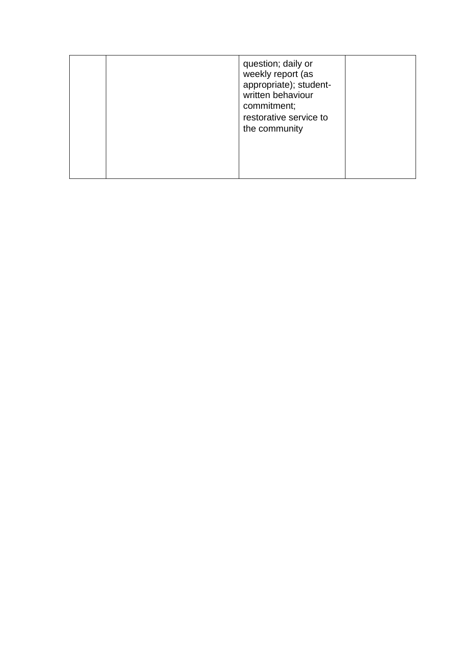|  | question; daily or<br>weekly report (as<br>appropriate); student-<br>written behaviour<br>commitment;<br>restorative service to<br>the community |  |
|--|--------------------------------------------------------------------------------------------------------------------------------------------------|--|
|  |                                                                                                                                                  |  |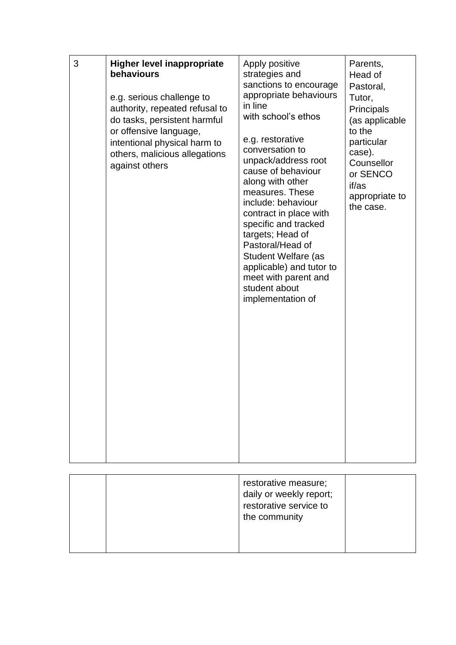| 3 | <b>Higher level inappropriate</b><br>behaviours<br>e.g. serious challenge to<br>authority, repeated refusal to<br>do tasks, persistent harmful<br>or offensive language,<br>intentional physical harm to<br>others, malicious allegations<br>against others | Apply positive<br>strategies and<br>sanctions to encourage<br>appropriate behaviours<br>in line<br>with school's ethos<br>e.g. restorative<br>conversation to<br>unpack/address root<br>cause of behaviour<br>along with other<br>measures. These<br>include: behaviour<br>contract in place with<br>specific and tracked<br>targets; Head of<br>Pastoral/Head of<br>Student Welfare (as<br>applicable) and tutor to<br>meet with parent and<br>student about<br>implementation of | Parents,<br>Head of<br>Pastoral,<br>Tutor,<br>Principals<br>(as applicable<br>to the<br>particular<br>case).<br>Counsellor<br>or SENCO<br>if/as<br>appropriate to<br>the case. |
|---|-------------------------------------------------------------------------------------------------------------------------------------------------------------------------------------------------------------------------------------------------------------|------------------------------------------------------------------------------------------------------------------------------------------------------------------------------------------------------------------------------------------------------------------------------------------------------------------------------------------------------------------------------------------------------------------------------------------------------------------------------------|--------------------------------------------------------------------------------------------------------------------------------------------------------------------------------|
|---|-------------------------------------------------------------------------------------------------------------------------------------------------------------------------------------------------------------------------------------------------------------|------------------------------------------------------------------------------------------------------------------------------------------------------------------------------------------------------------------------------------------------------------------------------------------------------------------------------------------------------------------------------------------------------------------------------------------------------------------------------------|--------------------------------------------------------------------------------------------------------------------------------------------------------------------------------|

|  | restorative measure;<br>daily or weekly report;<br>restorative service to<br>the community |  |
|--|--------------------------------------------------------------------------------------------|--|
|  |                                                                                            |  |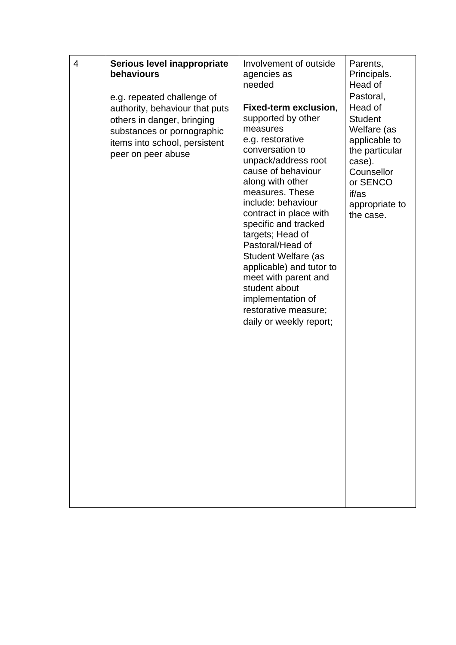| daily or weekly report; | Head of<br>Fixed-term exclusion,<br>authority, behaviour that puts<br>supported by other<br><b>Student</b><br>others in danger, bringing<br>measures<br>Welfare (as<br>substances or pornographic<br>e.g. restorative<br>applicable to<br>items into school, persistent<br>conversation to<br>the particular<br>peer on peer abuse<br>unpack/address root<br>case).<br>cause of behaviour<br>Counsellor<br>along with other<br>or SENCO<br>measures. These<br>if/as<br>include: behaviour<br>appropriate to<br>contract in place with<br>the case.<br>specific and tracked<br>targets; Head of<br>Pastoral/Head of<br>Student Welfare (as<br>applicable) and tutor to<br>meet with parent and<br>student about<br>implementation of<br>restorative measure; |
|-------------------------|-------------------------------------------------------------------------------------------------------------------------------------------------------------------------------------------------------------------------------------------------------------------------------------------------------------------------------------------------------------------------------------------------------------------------------------------------------------------------------------------------------------------------------------------------------------------------------------------------------------------------------------------------------------------------------------------------------------------------------------------------------------|
|                         |                                                                                                                                                                                                                                                                                                                                                                                                                                                                                                                                                                                                                                                                                                                                                             |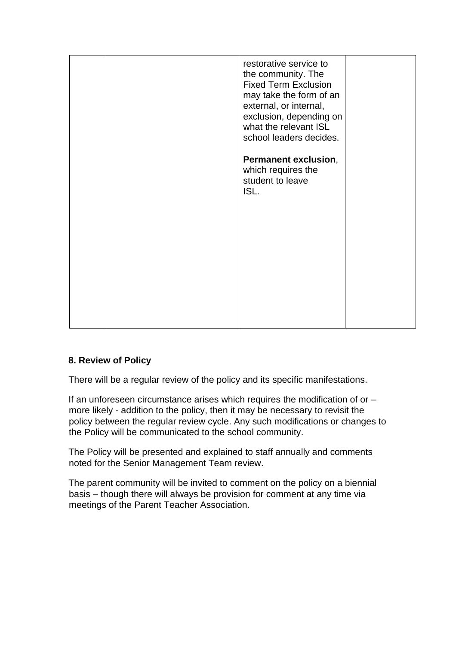|  | restorative service to<br>the community. The<br><b>Fixed Term Exclusion</b><br>may take the form of an<br>external, or internal,<br>exclusion, depending on<br>what the relevant ISL<br>school leaders decides.<br>Permanent exclusion,<br>which requires the<br>student to leave<br>ISL. |  |
|--|-------------------------------------------------------------------------------------------------------------------------------------------------------------------------------------------------------------------------------------------------------------------------------------------|--|
|  |                                                                                                                                                                                                                                                                                           |  |

### **8. Review of Policy**

There will be a regular review of the policy and its specific manifestations.

If an unforeseen circumstance arises which requires the modification of or – more likely - addition to the policy, then it may be necessary to revisit the policy between the regular review cycle. Any such modifications or changes to the Policy will be communicated to the school community.

The Policy will be presented and explained to staff annually and comments noted for the Senior Management Team review.

The parent community will be invited to comment on the policy on a biennial basis – though there will always be provision for comment at any time via meetings of the Parent Teacher Association.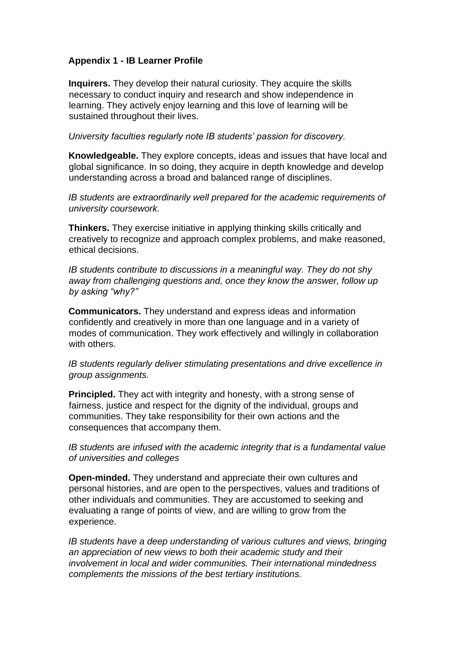### **Appendix 1 - IB Learner Profile**

**Inquirers.** They develop their natural curiosity. They acquire the skills necessary to conduct inquiry and research and show independence in learning. They actively enjoy learning and this love of learning will be sustained throughout their lives.

*University faculties regularly note IB students' passion for discovery.* 

**Knowledgeable.** They explore concepts, ideas and issues that have local and global significance. In so doing, they acquire in depth knowledge and develop understanding across a broad and balanced range of disciplines.

*IB students are extraordinarily well prepared for the academic requirements of university coursework.* 

**Thinkers.** They exercise initiative in applying thinking skills critically and creatively to recognize and approach complex problems, and make reasoned, ethical decisions.

*IB students contribute to discussions in a meaningful way. They do not shy away from challenging questions and, once they know the answer, follow up by asking "why?"* 

**Communicators.** They understand and express ideas and information confidently and creatively in more than one language and in a variety of modes of communication. They work effectively and willingly in collaboration with others.

*IB students regularly deliver stimulating presentations and drive excellence in group assignments.* 

**Principled.** They act with integrity and honesty, with a strong sense of fairness, justice and respect for the dignity of the individual, groups and communities. They take responsibility for their own actions and the consequences that accompany them.

*IB students are infused with the academic integrity that is a fundamental value of universities and colleges* 

**Open-minded.** They understand and appreciate their own cultures and personal histories, and are open to the perspectives, values and traditions of other individuals and communities. They are accustomed to seeking and evaluating a range of points of view, and are willing to grow from the experience.

*IB students have a deep understanding of various cultures and views, bringing an appreciation of new views to both their academic study and their involvement in local and wider communities. Their international mindedness complements the missions of the best tertiary institutions.*